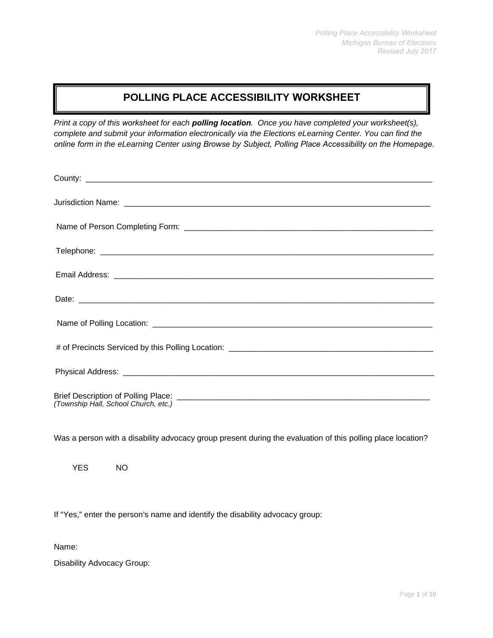### **POLLING PLACE ACCESSIBILITY WORKSHEET**

*Print a copy of this worksheet for each polling location. Once you have completed your worksheet(s), complete and submit your information electronically via the Elections eLearning Center. You can find the online form in the eLearning Center using Browse by Subject, Polling Place Accessibility on the Homepage.*

| (Township Hall, School Church, etc.) |
|--------------------------------------|

Was a person with a disability advocacy group present during the evaluation of this polling place location?

YES NO

If "Yes," enter the person's name and identify the disability advocacy group:

Name:

Disability Advocacy Group: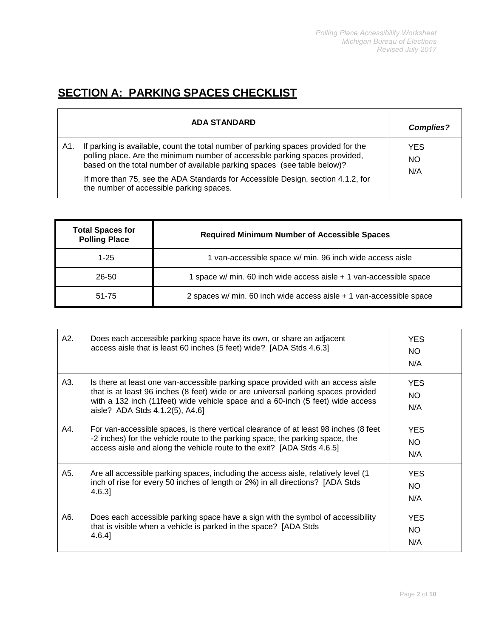# **SECTION A: PARKING SPACES CHECKLIST**

|     | <b>ADA STANDARD</b>                                                                                                                                                                                                                            | <b>Complies?</b>        |  |
|-----|------------------------------------------------------------------------------------------------------------------------------------------------------------------------------------------------------------------------------------------------|-------------------------|--|
| A1. | If parking is available, count the total number of parking spaces provided for the<br>polling place. Are the minimum number of accessible parking spaces provided,<br>based on the total number of available parking spaces (see table below)? | <b>YES</b><br><b>NO</b> |  |
|     | If more than 75, see the ADA Standards for Accessible Design, section 4.1.2, for<br>the number of accessible parking spaces.                                                                                                                   | N/A                     |  |

| <b>Total Spaces for</b><br><b>Polling Place</b> | <b>Required Minimum Number of Accessible Spaces</b>                 |
|-------------------------------------------------|---------------------------------------------------------------------|
| $1 - 25$                                        | 1 van-accessible space w/ min. 96 inch wide access aisle            |
| $26 - 50$                                       | 1 space w/ min. 60 inch wide access aisle + 1 van-accessible space  |
| 51-75                                           | 2 spaces w/ min. 60 inch wide access aisle + 1 van-accessible space |

| A2. | Does each accessible parking space have its own, or share an adjacent<br>access aisle that is least 60 inches (5 feet) wide? [ADA Stds 4.6.3]                                                                                                                                              | <b>YES</b><br>NO.<br>N/A |
|-----|--------------------------------------------------------------------------------------------------------------------------------------------------------------------------------------------------------------------------------------------------------------------------------------------|--------------------------|
| A3. | Is there at least one van-accessible parking space provided with an access aisle<br>that is at least 96 inches (8 feet) wide or are universal parking spaces provided<br>with a 132 inch (11feet) wide vehicle space and a 60-inch (5 feet) wide access<br>aisle? ADA Stds 4.1.2(5), A4.6] | <b>YES</b><br>NO.<br>N/A |
| A4. | For van-accessible spaces, is there vertical clearance of at least 98 inches (8 feet<br>-2 inches) for the vehicle route to the parking space, the parking space, the<br>access aisle and along the vehicle route to the exit? [ADA Stds 4.6.5]                                            | <b>YES</b><br>NO.<br>N/A |
| A5. | Are all accessible parking spaces, including the access aisle, relatively level (1)<br>inch of rise for every 50 inches of length or 2%) in all directions? [ADA Stds<br>4.6.3]                                                                                                            | <b>YES</b><br>NO.<br>N/A |
| A6. | Does each accessible parking space have a sign with the symbol of accessibility<br>that is visible when a vehicle is parked in the space? [ADA Stds<br>$4.6.4$ ]                                                                                                                           | <b>YES</b><br>NO.<br>N/A |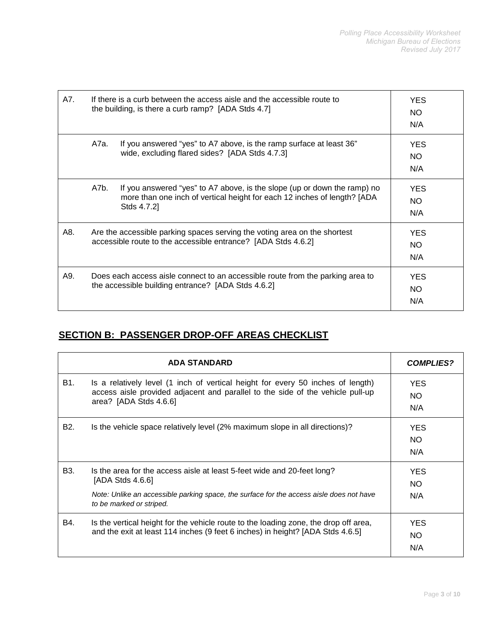| A7. | If there is a curb between the access aisle and the accessible route to<br>the building, is there a curb ramp? [ADA Stds 4.7]              | YES.<br>NO.<br>N/A                                                                                                                                                 |                          |
|-----|--------------------------------------------------------------------------------------------------------------------------------------------|--------------------------------------------------------------------------------------------------------------------------------------------------------------------|--------------------------|
|     | A7a.                                                                                                                                       | If you answered "yes" to A7 above, is the ramp surface at least 36"<br>wide, excluding flared sides? [ADA Stds 4.7.3]                                              | <b>YES</b><br>NO.<br>N/A |
|     | A7b.                                                                                                                                       | If you answered "yes" to A7 above, is the slope (up or down the ramp) no<br>more than one inch of vertical height for each 12 inches of length? [ADA<br>Stds 4.7.2 | <b>YES</b><br>NO.<br>N/A |
| A8. | Are the accessible parking spaces serving the voting area on the shortest<br>accessible route to the accessible entrance? [ADA Stds 4.6.2] |                                                                                                                                                                    | <b>YES</b><br>NO.<br>N/A |
| A9. | Does each access aisle connect to an accessible route from the parking area to<br>the accessible building entrance? [ADA Stds 4.6.2]       |                                                                                                                                                                    | <b>YES</b><br>NO.<br>N/A |

### **SECTION B: PASSENGER DROP-OFF AREAS CHECKLIST**

|                  | <b>COMPLIES?</b>                                                                                                                                                                                                    |                          |
|------------------|---------------------------------------------------------------------------------------------------------------------------------------------------------------------------------------------------------------------|--------------------------|
| B1.              | Is a relatively level (1 inch of vertical height for every 50 inches of length)<br>access aisle provided adjacent and parallel to the side of the vehicle pull-up<br>area? [ADA Stds 4.6.6]                         | <b>YES</b><br>NO.<br>N/A |
| B <sub>2</sub> . | Is the vehicle space relatively level (2% maximum slope in all directions)?                                                                                                                                         | <b>YES</b><br>NO.<br>N/A |
| B <sub>3</sub> . | Is the area for the access aisle at least 5-feet wide and 20-feet long?<br>[ADA Stds 4.6.6]<br>Note: Unlike an accessible parking space, the surface for the access aisle does not have<br>to be marked or striped. | <b>YES</b><br>NO.<br>N/A |
| B4.              | Is the vertical height for the vehicle route to the loading zone, the drop off area,<br>and the exit at least 114 inches (9 feet 6 inches) in height? [ADA Stds 4.6.5]                                              | <b>YES</b><br>NO.<br>N/A |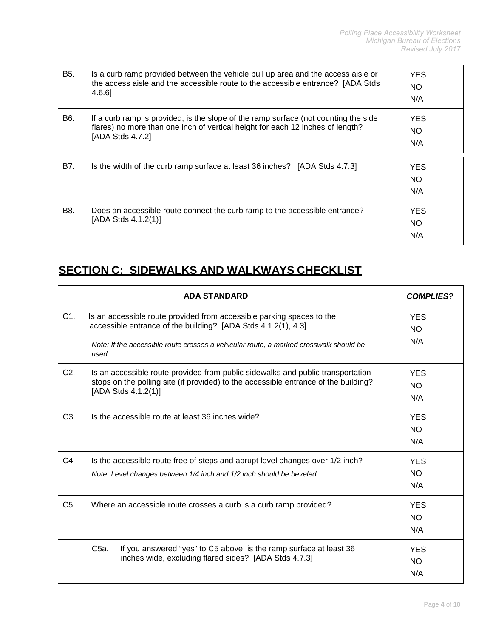| B5. | Is a curb ramp provided between the vehicle pull up area and the access aisle or<br>the access aisle and the accessible route to the accessible entrance? [ADA Stds<br>4.6.6]                | <b>YES</b><br>NO.<br>N/A |
|-----|----------------------------------------------------------------------------------------------------------------------------------------------------------------------------------------------|--------------------------|
| B6. | If a curb ramp is provided, is the slope of the ramp surface (not counting the side<br>flares) no more than one inch of vertical height for each 12 inches of length?<br>[ADA Stds $4.7.2$ ] | <b>YES</b><br>NO.<br>N/A |
| B7. | Is the width of the curb ramp surface at least 36 inches? [ADA Stds 4.7.3]                                                                                                                   | <b>YES</b><br>NO.<br>N/A |
| B8. | Does an accessible route connect the curb ramp to the accessible entrance?<br>[ADA Stds $4.1.2(1)$ ]                                                                                         | <b>YES</b><br>NO.<br>N/A |

# **SECTION C: SIDEWALKS AND WALKWAYS CHECKLIST**

|                  | <b>ADA STANDARD</b>                                                                                                                                                                                                                      | <b>COMPLIES?</b>               |
|------------------|------------------------------------------------------------------------------------------------------------------------------------------------------------------------------------------------------------------------------------------|--------------------------------|
| C1.              | Is an accessible route provided from accessible parking spaces to the<br>accessible entrance of the building? [ADA Stds 4.1.2(1), 4.3]<br>Note: If the accessible route crosses a vehicular route, a marked crosswalk should be<br>used. | <b>YES</b><br><b>NO</b><br>N/A |
| C <sub>2</sub> . | Is an accessible route provided from public sidewalks and public transportation<br>stops on the polling site (if provided) to the accessible entrance of the building?<br>[ADA Stds 4.1.2(1)]                                            | <b>YES</b><br><b>NO</b><br>N/A |
| C <sub>3</sub>   | Is the accessible route at least 36 inches wide?                                                                                                                                                                                         | <b>YES</b><br><b>NO</b><br>N/A |
| C4.              | Is the accessible route free of steps and abrupt level changes over 1/2 inch?<br>Note: Level changes between 1/4 inch and 1/2 inch should be beveled.                                                                                    | <b>YES</b><br><b>NO</b><br>N/A |
| C <sub>5</sub> . | Where an accessible route crosses a curb is a curb ramp provided?                                                                                                                                                                        | <b>YES</b><br>NO.<br>N/A       |
|                  | If you answered "yes" to C5 above, is the ramp surface at least 36<br>C <sub>5a</sub> .<br>inches wide, excluding flared sides? [ADA Stds 4.7.3]                                                                                         | <b>YES</b><br>NO.<br>N/A       |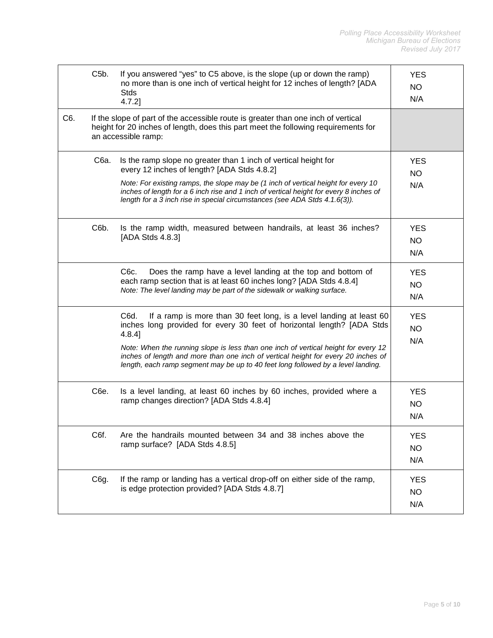|     | C <sub>5</sub> b. | If you answered "yes" to C5 above, is the slope (up or down the ramp)<br>no more than is one inch of vertical height for 12 inches of length? [ADA<br><b>Stds</b><br>$4.7.2$ ]                                                                                                                                                                                                                                                    | <b>YES</b><br><b>NO</b><br>N/A |
|-----|-------------------|-----------------------------------------------------------------------------------------------------------------------------------------------------------------------------------------------------------------------------------------------------------------------------------------------------------------------------------------------------------------------------------------------------------------------------------|--------------------------------|
| C6. |                   | If the slope of part of the accessible route is greater than one inch of vertical<br>height for 20 inches of length, does this part meet the following requirements for<br>an accessible ramp:                                                                                                                                                                                                                                    |                                |
|     | C6a.              | Is the ramp slope no greater than 1 inch of vertical height for<br>every 12 inches of length? [ADA Stds 4.8.2]<br>Note: For existing ramps, the slope may be (1 inch of vertical height for every 10<br>inches of length for a 6 inch rise and 1 inch of vertical height for every 8 inches of<br>length for a 3 inch rise in special circumstances (see ADA Stds 4.1.6(3)).                                                      | <b>YES</b><br><b>NO</b><br>N/A |
|     | C6b.              | Is the ramp width, measured between handrails, at least 36 inches?<br>[ADA Stds 4.8.3]                                                                                                                                                                                                                                                                                                                                            | <b>YES</b><br><b>NO</b><br>N/A |
|     |                   | C <sub>6</sub> c.<br>Does the ramp have a level landing at the top and bottom of<br>each ramp section that is at least 60 inches long? [ADA Stds 4.8.4]<br>Note: The level landing may be part of the sidewalk or walking surface.                                                                                                                                                                                                | <b>YES</b><br><b>NO</b><br>N/A |
|     |                   | C6d.<br>If a ramp is more than 30 feet long, is a level landing at least 60<br>inches long provided for every 30 feet of horizontal length? [ADA Stds<br>$4.8.4$ ]<br>Note: When the running slope is less than one inch of vertical height for every 12<br>inches of length and more than one inch of vertical height for every 20 inches of<br>length, each ramp segment may be up to 40 feet long followed by a level landing. | <b>YES</b><br>NO.<br>N/A       |
|     | C6e.              | Is a level landing, at least 60 inches by 60 inches, provided where a<br>ramp changes direction? [ADA Stds 4.8.4]                                                                                                                                                                                                                                                                                                                 | <b>YES</b><br><b>NO</b><br>N/A |
|     | C6f.              | Are the handrails mounted between 34 and 38 inches above the<br>ramp surface? [ADA Stds 4.8.5]                                                                                                                                                                                                                                                                                                                                    | <b>YES</b><br><b>NO</b><br>N/A |
|     | C6g.              | If the ramp or landing has a vertical drop-off on either side of the ramp,<br>is edge protection provided? [ADA Stds 4.8.7]                                                                                                                                                                                                                                                                                                       | <b>YES</b><br><b>NO</b><br>N/A |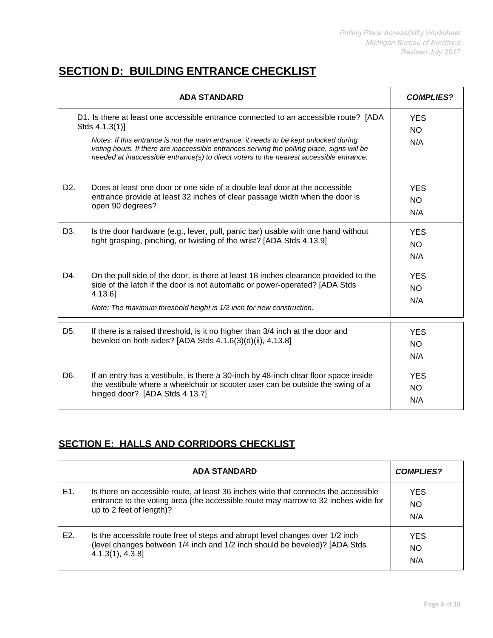## **SECTION D: BUILDING ENTRANCE CHECKLIST**

| <b>ADA STANDARD</b> |                                                                                                                                                                                                                                                                                                                                                                                          | <b>COMPLIES?</b>               |  |
|---------------------|------------------------------------------------------------------------------------------------------------------------------------------------------------------------------------------------------------------------------------------------------------------------------------------------------------------------------------------------------------------------------------------|--------------------------------|--|
|                     | D1. Is there at least one accessible entrance connected to an accessible route? [ADA<br>Stds 4.1.3(1)]<br>Notes: If this entrance is not the main entrance, it needs to be kept unlocked during<br>voting hours. If there are inaccessible entrances serving the polling place, signs will be<br>needed at inaccessible entrance(s) to direct voters to the nearest accessible entrance. |                                |  |
| D <sub>2</sub> .    | Does at least one door or one side of a double leaf door at the accessible<br>entrance provide at least 32 inches of clear passage width when the door is<br>open 90 degrees?                                                                                                                                                                                                            | <b>YES</b><br>NO.<br>N/A       |  |
| D3.                 | Is the door hardware (e.g., lever, pull, panic bar) usable with one hand without<br>tight grasping, pinching, or twisting of the wrist? [ADA Stds 4.13.9]                                                                                                                                                                                                                                | <b>YES</b><br><b>NO</b><br>N/A |  |
| D4.                 | On the pull side of the door, is there at least 18 inches clearance provided to the<br>side of the latch if the door is not automatic or power-operated? [ADA Stds<br>4.13.6]<br>Note: The maximum threshold height is 1/2 inch for new construction.                                                                                                                                    | <b>YES</b><br>NO.<br>N/A       |  |
| D <sub>5</sub> .    | If there is a raised threshold, is it no higher than 3/4 inch at the door and<br>beveled on both sides? [ADA Stds 4.1.6(3)(d)(ii), 4.13.8]                                                                                                                                                                                                                                               | <b>YES</b><br><b>NO</b><br>N/A |  |
| D6.                 | If an entry has a vestibule, is there a 30-inch by 48-inch clear floor space inside<br>the vestibule where a wheelchair or scooter user can be outside the swing of a<br>hinged door? [ADA Stds 4.13.7]                                                                                                                                                                                  | <b>YES</b><br><b>NO</b><br>N/A |  |

#### **SECTION E: HALLS AND CORRIDORS CHECKLIST**

|     | <b>ADA STANDARD</b>                                                                                                                                                                                  | <b>COMPLIES?</b>         |
|-----|------------------------------------------------------------------------------------------------------------------------------------------------------------------------------------------------------|--------------------------|
| E1. | Is there an accessible route, at least 36 inches wide that connects the accessible<br>entrance to the voting area (the accessible route may narrow to 32 inches wide for<br>up to 2 feet of length)? | <b>YES</b><br>ΝO<br>N/A  |
| E2. | Is the accessible route free of steps and abrupt level changes over 1/2 inch<br>(level changes between 1/4 inch and 1/2 inch should be beveled)? [ADA Stds<br>$4.1.3(1), 4.3.8$ ]                    | <b>YES</b><br>NO.<br>N/A |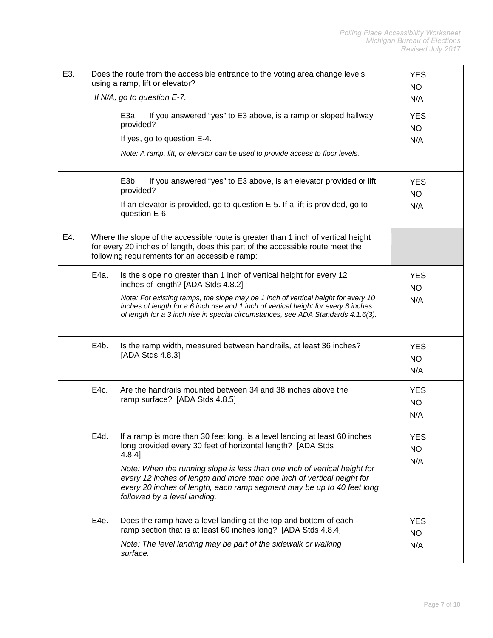| E3. |      | Does the route from the accessible entrance to the voting area change levels<br>using a ramp, lift or elevator?                                                                                                                                                | <b>YES</b><br><b>NO</b>        |
|-----|------|----------------------------------------------------------------------------------------------------------------------------------------------------------------------------------------------------------------------------------------------------------------|--------------------------------|
|     |      | If N/A, go to question E-7.                                                                                                                                                                                                                                    | N/A                            |
|     |      | E3a.<br>If you answered "yes" to E3 above, is a ramp or sloped hallway<br>provided?                                                                                                                                                                            | <b>YES</b><br>NO               |
|     |      | If yes, go to question E-4.                                                                                                                                                                                                                                    | N/A                            |
|     |      | Note: A ramp, lift, or elevator can be used to provide access to floor levels.                                                                                                                                                                                 |                                |
|     |      | E3b.<br>If you answered "yes" to E3 above, is an elevator provided or lift<br>provided?                                                                                                                                                                        | <b>YES</b><br>NO.              |
|     |      | If an elevator is provided, go to question E-5. If a lift is provided, go to<br>question E-6.                                                                                                                                                                  | N/A                            |
| E4. |      | Where the slope of the accessible route is greater than 1 inch of vertical height<br>for every 20 inches of length, does this part of the accessible route meet the<br>following requirements for an accessible ramp:                                          |                                |
|     | E4a. | Is the slope no greater than 1 inch of vertical height for every 12<br>inches of length? [ADA Stds 4.8.2]                                                                                                                                                      | <b>YES</b><br>NO               |
|     |      | Note: For existing ramps, the slope may be 1 inch of vertical height for every 10<br>inches of length for a 6 inch rise and 1 inch of vertical height for every 8 inches<br>of length for a 3 inch rise in special circumstances, see ADA Standards 4.1.6(3).  | N/A                            |
|     | E4b. | Is the ramp width, measured between handrails, at least 36 inches?<br>[ADA Stds 4.8.3]                                                                                                                                                                         | <b>YES</b><br>NO.<br>N/A       |
|     | E4c. | Are the handrails mounted between 34 and 38 inches above the<br>ramp surface? [ADA Stds 4.8.5]                                                                                                                                                                 | <b>YES</b><br>NO<br>N/A        |
|     | E4d. | If a ramp is more than 30 feet long, is a level landing at least 60 inches<br>long provided every 30 feet of horizontal length? [ADA Stds<br>$4.8.4$ ]                                                                                                         | <b>YES</b><br><b>NO</b>        |
|     |      | Note: When the running slope is less than one inch of vertical height for<br>every 12 inches of length and more than one inch of vertical height for<br>every 20 inches of length, each ramp segment may be up to 40 feet long<br>followed by a level landing. | N/A                            |
|     | E4e. | Does the ramp have a level landing at the top and bottom of each<br>ramp section that is at least 60 inches long? [ADA Stds 4.8.4]<br>Note: The level landing may be part of the sidewalk or walking                                                           | <b>YES</b><br><b>NO</b><br>N/A |
|     |      | surface.                                                                                                                                                                                                                                                       |                                |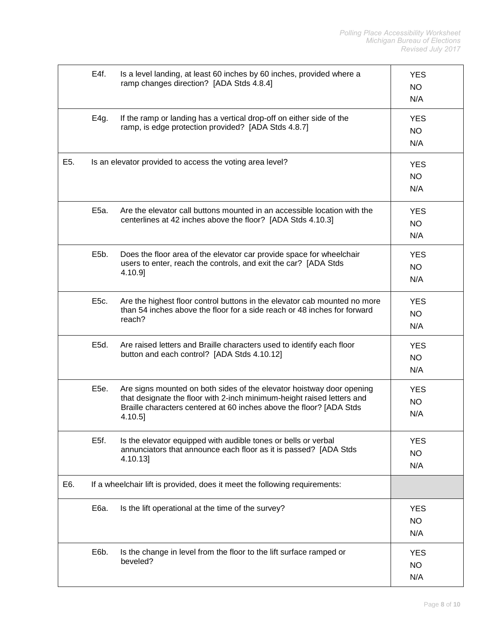|     | E4f.              | Is a level landing, at least 60 inches by 60 inches, provided where a<br>ramp changes direction? [ADA Stds 4.8.4]                                                                                                                 | <b>YES</b><br><b>NO</b><br>N/A |
|-----|-------------------|-----------------------------------------------------------------------------------------------------------------------------------------------------------------------------------------------------------------------------------|--------------------------------|
|     | E4g.              | If the ramp or landing has a vertical drop-off on either side of the<br>ramp, is edge protection provided? [ADA Stds 4.8.7]                                                                                                       | <b>YES</b><br><b>NO</b><br>N/A |
| E5. |                   | Is an elevator provided to access the voting area level?                                                                                                                                                                          | <b>YES</b><br>NO<br>N/A        |
|     | E5a.              | Are the elevator call buttons mounted in an accessible location with the<br>centerlines at 42 inches above the floor? [ADA Stds 4.10.3]                                                                                           | <b>YES</b><br>NO<br>N/A        |
|     | E <sub>5</sub> b. | Does the floor area of the elevator car provide space for wheelchair<br>users to enter, reach the controls, and exit the car? [ADA Stds<br>4.10.9]                                                                                | <b>YES</b><br><b>NO</b><br>N/A |
|     | E5c.              | Are the highest floor control buttons in the elevator cab mounted no more<br>than 54 inches above the floor for a side reach or 48 inches for forward<br>reach?                                                                   | <b>YES</b><br><b>NO</b><br>N/A |
|     | E5d.              | Are raised letters and Braille characters used to identify each floor<br>button and each control? [ADA Stds 4.10.12]                                                                                                              | <b>YES</b><br><b>NO</b><br>N/A |
|     | E5e.              | Are signs mounted on both sides of the elevator hoistway door opening<br>that designate the floor with 2-inch minimum-height raised letters and<br>Braille characters centered at 60 inches above the floor? [ADA Stds<br>4.10.5] | <b>YES</b><br><b>NO</b><br>N/A |
|     | E5f.              | Is the elevator equipped with audible tones or bells or verbal<br>annunciators that announce each floor as it is passed? [ADA Stds<br>4.10.13]                                                                                    | <b>YES</b><br><b>NO</b><br>N/A |
| E6. |                   | If a wheelchair lift is provided, does it meet the following requirements:                                                                                                                                                        |                                |
|     | E6a.              | Is the lift operational at the time of the survey?                                                                                                                                                                                | <b>YES</b><br>NO.<br>N/A       |
|     | E6b.              | Is the change in level from the floor to the lift surface ramped or<br>beveled?                                                                                                                                                   | <b>YES</b><br><b>NO</b><br>N/A |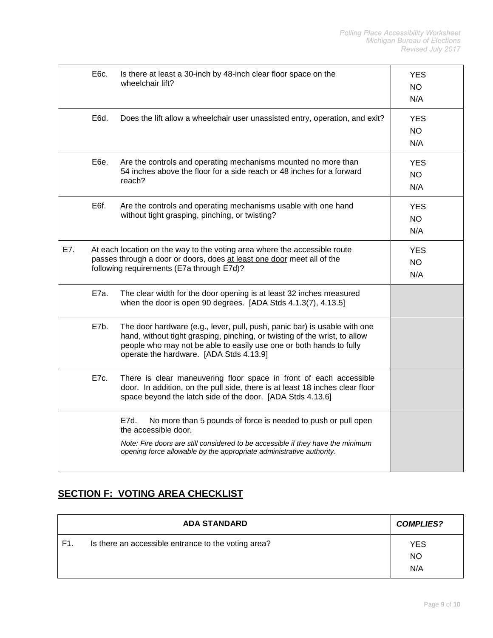|     | E6c.                                                                                                                                                                                             | Is there at least a 30-inch by 48-inch clear floor space on the<br>wheelchair lift?                                                                                                                                                                                       | <b>YES</b><br>NO.<br>N/A       |
|-----|--------------------------------------------------------------------------------------------------------------------------------------------------------------------------------------------------|---------------------------------------------------------------------------------------------------------------------------------------------------------------------------------------------------------------------------------------------------------------------------|--------------------------------|
|     | E6d.                                                                                                                                                                                             | Does the lift allow a wheelchair user unassisted entry, operation, and exit?                                                                                                                                                                                              | <b>YES</b><br>NO.<br>N/A       |
|     | E6e.                                                                                                                                                                                             | Are the controls and operating mechanisms mounted no more than<br>54 inches above the floor for a side reach or 48 inches for a forward<br>reach?                                                                                                                         | <b>YES</b><br><b>NO</b><br>N/A |
|     | E6f.                                                                                                                                                                                             | Are the controls and operating mechanisms usable with one hand<br>without tight grasping, pinching, or twisting?                                                                                                                                                          | <b>YES</b><br><b>NO</b><br>N/A |
| E7. | At each location on the way to the voting area where the accessible route<br>passes through a door or doors, does at least one door meet all of the<br>following requirements (E7a through E7d)? |                                                                                                                                                                                                                                                                           | <b>YES</b><br><b>NO</b><br>N/A |
|     | E7a.                                                                                                                                                                                             | The clear width for the door opening is at least 32 inches measured<br>when the door is open 90 degrees. [ADA Stds 4.1.3(7), 4.13.5]                                                                                                                                      |                                |
|     | E7b.                                                                                                                                                                                             | The door hardware (e.g., lever, pull, push, panic bar) is usable with one<br>hand, without tight grasping, pinching, or twisting of the wrist, to allow<br>people who may not be able to easily use one or both hands to fully<br>operate the hardware. [ADA Stds 4.13.9] |                                |
|     | E7c.                                                                                                                                                                                             | There is clear maneuvering floor space in front of each accessible<br>door. In addition, on the pull side, there is at least 18 inches clear floor<br>space beyond the latch side of the door. [ADA Stds 4.13.6]                                                          |                                |
|     |                                                                                                                                                                                                  | No more than 5 pounds of force is needed to push or pull open<br>E7d.<br>the accessible door.<br>Note: Fire doors are still considered to be accessible if they have the minimum<br>opening force allowable by the appropriate administrative authority.                  |                                |

## **SECTION F: VOTING AREA CHECKLIST**

|     | <b>ADA STANDARD</b>                                 | <b>COMPLIES?</b>               |
|-----|-----------------------------------------------------|--------------------------------|
| F1. | Is there an accessible entrance to the voting area? | <b>YES</b><br><b>NO</b><br>N/A |